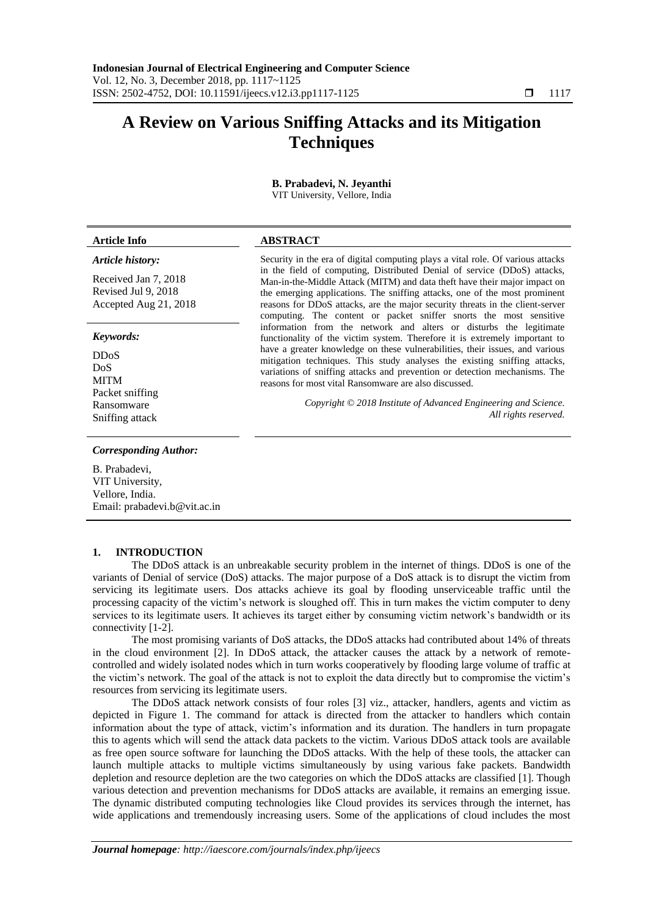# **A Review on Various Sniffing Attacks and its Mitigation Techniques**

#### **B. Prabadevi, N. Jeyanthi** VIT University, Vellore, India

# **Article Info ABSTRACT**

## *Article history:*

Received Jan 7, 2018 Revised Jul 9, 2018 Accepted Aug 21, 2018

## *Keywords:*

DDoS DoS MITM Packet sniffing Ransomware Sniffing attack

## *Corresponding Author:*

B. Prabadevi, VIT University, Vellore, India. Email: prabadevi.b@vit.ac.in

## **1. INTRODUCTION**

The DDoS attack is an unbreakable security problem in the internet of things. DDoS is one of the variants of Denial of service (DoS) attacks. The major purpose of a DoS attack is to disrupt the victim from servicing its legitimate users. Dos attacks achieve its goal by flooding unserviceable traffic until the processing capacity of the victim's network is sloughed off. This in turn makes the victim computer to deny services to its legitimate users. It achieves its target either by consuming victim network's bandwidth or its connectivity [1-2].

The most promising variants of DoS attacks, the DDoS attacks had contributed about 14% of threats in the cloud environment [2]. In DDoS attack, the attacker causes the attack by a network of remotecontrolled and widely isolated nodes which in turn works cooperatively by flooding large volume of traffic at the victim's network. The goal of the attack is not to exploit the data directly but to compromise the victim's resources from servicing its legitimate users.

The DDoS attack network consists of four roles [3] viz., attacker, handlers, agents and victim as depicted in Figure 1. The command for attack is directed from the attacker to handlers which contain information about the type of attack, victim's information and its duration. The handlers in turn propagate this to agents which will send the attack data packets to the victim. Various DDoS attack tools are available as free open source software for launching the DDoS attacks. With the help of these tools, the attacker can launch multiple attacks to multiple victims simultaneously by using various fake packets. Bandwidth depletion and resource depletion are the two categories on which the DDoS attacks are classified [1]. Though various detection and prevention mechanisms for DDoS attacks are available, it remains an emerging issue. The dynamic distributed computing technologies like Cloud provides its services through the internet, has wide applications and tremendously increasing users. Some of the applications of cloud includes the most

Security in the era of digital computing plays a vital role. Of various attacks in the field of computing, Distributed Denial of service (DDoS) attacks, Man-in-the-Middle Attack (MITM) and data theft have their major impact on the emerging applications. The sniffing attacks, one of the most prominent reasons for DDoS attacks, are the major security threats in the client-server computing. The content or packet sniffer snorts the most sensitive information from the network and alters or disturbs the legitimate functionality of the victim system. Therefore it is extremely important to have a greater knowledge on these vulnerabilities, their issues, and various mitigation techniques. This study analyses the existing sniffing attacks, variations of sniffing attacks and prevention or detection mechanisms. The reasons for most vital Ransomware are also discussed.

> *Copyright © 2018 Institute of Advanced Engineering and Science. All rights reserved.*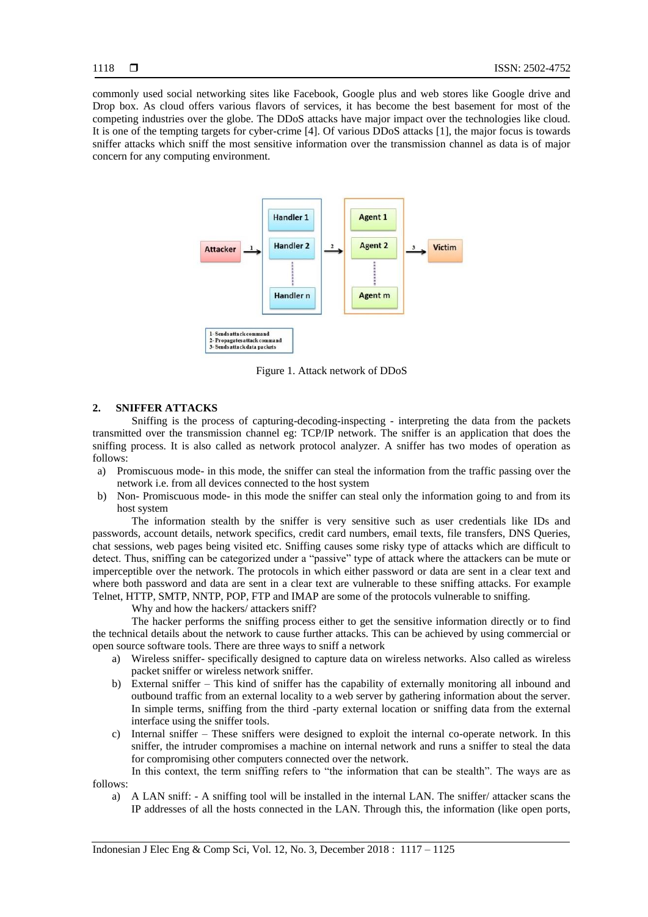commonly used social networking sites like Facebook, Google plus and web stores like Google drive and Drop box. As cloud offers various flavors of services, it has become the best basement for most of the competing industries over the globe. The DDoS attacks have major impact over the technologies like cloud. It is one of the tempting targets for cyber-crime [4]. Of various DDoS attacks [1], the major focus is towards sniffer attacks which sniff the most sensitive information over the transmission channel as data is of major concern for any computing environment.



Figure 1. Attack network of DDoS

## **2. SNIFFER ATTACKS**

Sniffing is the process of capturing-decoding-inspecting - interpreting the data from the packets transmitted over the transmission channel eg: TCP/IP network. The sniffer is an application that does the sniffing process. It is also called as network protocol analyzer. A sniffer has two modes of operation as follows:

- a) Promiscuous mode- in this mode, the sniffer can steal the information from the traffic passing over the network i.e. from all devices connected to the host system
- b) Non- Promiscuous mode- in this mode the sniffer can steal only the information going to and from its host system

The information stealth by the sniffer is very sensitive such as user credentials like IDs and passwords, account details, network specifics, credit card numbers, email texts, file transfers, DNS Queries, chat sessions, web pages being visited etc. Sniffing causes some risky type of attacks which are difficult to detect. Thus, sniffing can be categorized under a "passive" type of attack where the attackers can be mute or imperceptible over the network. The protocols in which either password or data are sent in a clear text and where both password and data are sent in a clear text are vulnerable to these sniffing attacks. For example Telnet, HTTP, SMTP, NNTP, POP, FTP and IMAP are some of the protocols vulnerable to sniffing.

Why and how the hackers/ attackers sniff?

The hacker performs the sniffing process either to get the sensitive information directly or to find the technical details about the network to cause further attacks. This can be achieved by using commercial or open source software tools. There are three ways to sniff a network

- a) Wireless sniffer- specifically designed to capture data on wireless networks. Also called as wireless packet sniffer or wireless network sniffer.
- b) External sniffer This kind of sniffer has the capability of externally monitoring all inbound and outbound traffic from an external locality to a web server by gathering information about the server. In simple terms, sniffing from the third -party external location or sniffing data from the external interface using the sniffer tools.
- c) Internal sniffer These sniffers were designed to exploit the internal co-operate network. In this sniffer, the intruder compromises a machine on internal network and runs a sniffer to steal the data for compromising other computers connected over the network.

In this context, the term sniffing refers to "the information that can be stealth". The ways are as follows:

a) A LAN sniff: - A sniffing tool will be installed in the internal LAN. The sniffer/ attacker scans the IP addresses of all the hosts connected in the LAN. Through this, the information (like open ports,

Indonesian J Elec Eng & Comp Sci, Vol. 12, No. 3, December 2018 : 1117 – 1125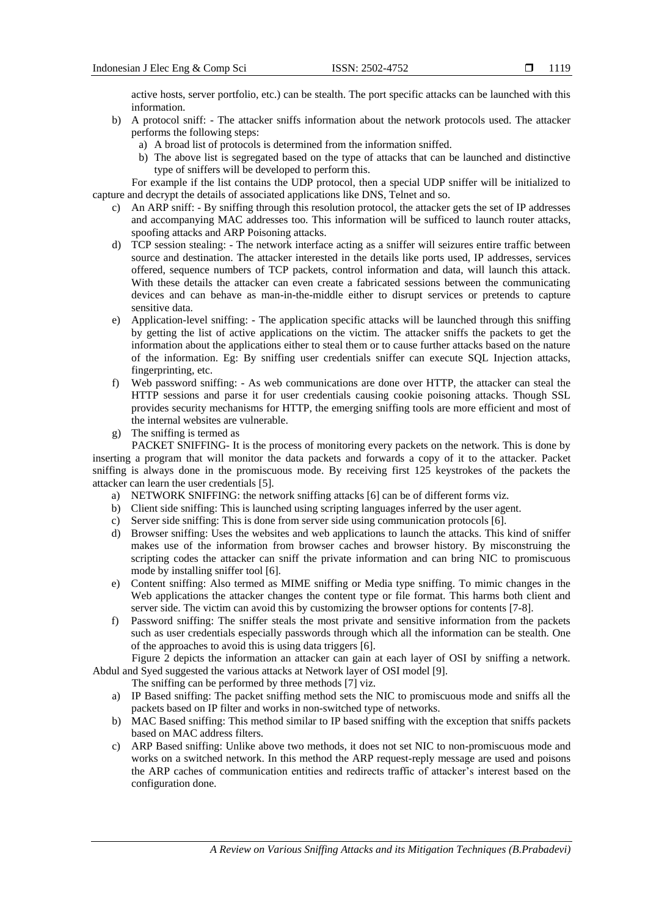1119

active hosts, server portfolio, etc.) can be stealth. The port specific attacks can be launched with this information.

- b) A protocol sniff: The attacker sniffs information about the network protocols used. The attacker performs the following steps:
	- a) A broad list of protocols is determined from the information sniffed.
	- b) The above list is segregated based on the type of attacks that can be launched and distinctive type of sniffers will be developed to perform this.

For example if the list contains the UDP protocol, then a special UDP sniffer will be initialized to capture and decrypt the details of associated applications like DNS, Telnet and so.

- c) An ARP sniff: By sniffing through this resolution protocol, the attacker gets the set of IP addresses and accompanying MAC addresses too. This information will be sufficed to launch router attacks, spoofing attacks and ARP Poisoning attacks.
- d) TCP session stealing: The network interface acting as a sniffer will seizures entire traffic between source and destination. The attacker interested in the details like ports used, IP addresses, services offered, sequence numbers of TCP packets, control information and data, will launch this attack. With these details the attacker can even create a fabricated sessions between the communicating devices and can behave as man-in-the-middle either to disrupt services or pretends to capture sensitive data.
- e) Application-level sniffing: The application specific attacks will be launched through this sniffing by getting the list of active applications on the victim. The attacker sniffs the packets to get the information about the applications either to steal them or to cause further attacks based on the nature of the information. Eg: By sniffing user credentials sniffer can execute SQL Injection attacks, fingerprinting, etc.
- f) Web password sniffing: As web communications are done over HTTP, the attacker can steal the HTTP sessions and parse it for user credentials causing cookie poisoning attacks. Though SSL provides security mechanisms for HTTP, the emerging sniffing tools are more efficient and most of the internal websites are vulnerable.
- g) The sniffing is termed as

PACKET SNIFFING- It is the process of monitoring every packets on the network. This is done by inserting a program that will monitor the data packets and forwards a copy of it to the attacker. Packet sniffing is always done in the promiscuous mode. By receiving first 125 keystrokes of the packets the attacker can learn the user credentials [5].

- a) NETWORK SNIFFING: the network sniffing attacks [6] can be of different forms viz.
- b) Client side sniffing: This is launched using scripting languages inferred by the user agent.
- c) Server side sniffing: This is done from server side using communication protocols [6].
- d) Browser sniffing: Uses the websites and web applications to launch the attacks. This kind of sniffer makes use of the information from browser caches and browser history. By misconstruing the scripting codes the attacker can sniff the private information and can bring NIC to promiscuous mode by installing sniffer tool [6].
- e) Content sniffing: Also termed as MIME sniffing or Media type sniffing. To mimic changes in the Web applications the attacker changes the content type or file format. This harms both client and server side. The victim can avoid this by customizing the browser options for contents [7-8].
- f) Password sniffing: The sniffer steals the most private and sensitive information from the packets such as user credentials especially passwords through which all the information can be stealth. One of the approaches to avoid this is using data triggers [6].

Figure 2 depicts the information an attacker can gain at each layer of OSI by sniffing a network. Abdul and Syed suggested the various attacks at Network layer of OSI model [9].

The sniffing can be performed by three methods [7] viz.

- a) IP Based sniffing: The packet sniffing method sets the NIC to promiscuous mode and sniffs all the packets based on IP filter and works in non-switched type of networks.
- b) MAC Based sniffing: This method similar to IP based sniffing with the exception that sniffs packets based on MAC address filters.
- c) ARP Based sniffing: Unlike above two methods, it does not set NIC to non-promiscuous mode and works on a switched network. In this method the ARP request-reply message are used and poisons the ARP caches of communication entities and redirects traffic of attacker's interest based on the configuration done.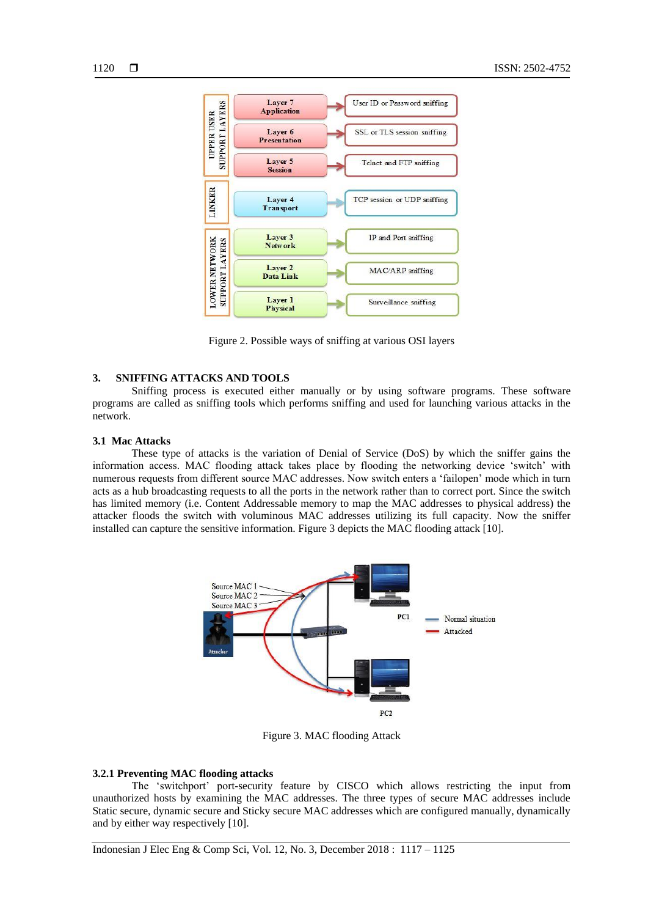

Figure 2. Possible ways of sniffing at various OSI layers

# **3. SNIFFING ATTACKS AND TOOLS**

Sniffing process is executed either manually or by using software programs. These software programs are called as sniffing tools which performs sniffing and used for launching various attacks in the network.

## **3.1 Mac Attacks**

These type of attacks is the variation of Denial of Service (DoS) by which the sniffer gains the information access. MAC flooding attack takes place by flooding the networking device 'switch' with numerous requests from different source MAC addresses. Now switch enters a 'failopen' mode which in turn acts as a hub broadcasting requests to all the ports in the network rather than to correct port. Since the switch has limited memory (i.e. Content Addressable memory to map the MAC addresses to physical address) the attacker floods the switch with voluminous MAC addresses utilizing its full capacity. Now the sniffer installed can capture the sensitive information. Figure 3 depicts the MAC flooding attack [10].



Figure 3. MAC flooding Attack

# **3.2.1 Preventing MAC flooding attacks**

The 'switchport' port-security feature by CISCO which allows restricting the input from unauthorized hosts by examining the MAC addresses. The three types of secure MAC addresses include Static secure, dynamic secure and Sticky secure MAC addresses which are configured manually, dynamically and by either way respectively [10].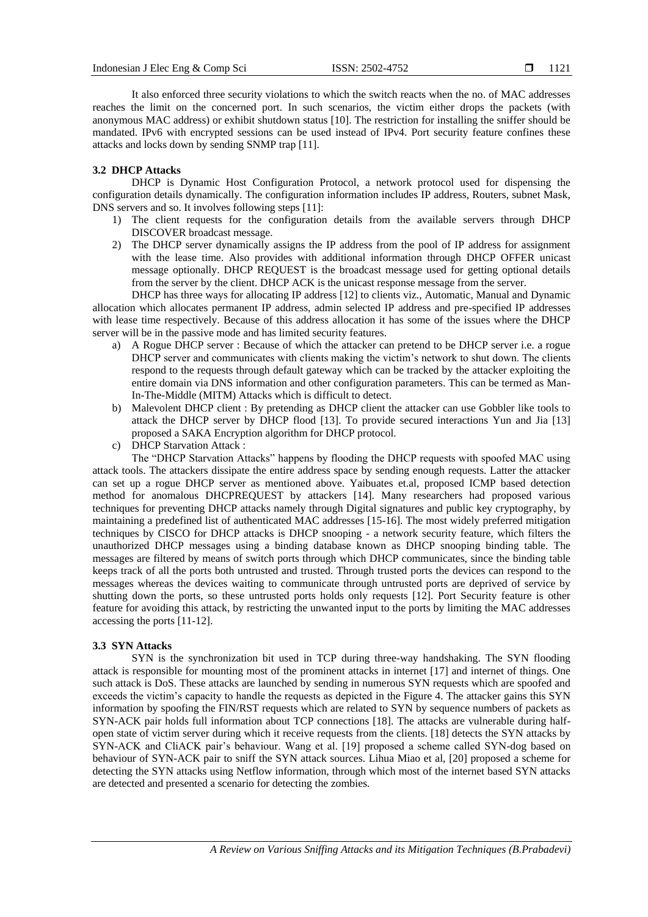It also enforced three security violations to which the switch reacts when the no. of MAC addresses reaches the limit on the concerned port. In such scenarios, the victim either drops the packets (with anonymous MAC address) or exhibit shutdown status [10]. The restriction for installing the sniffer should be mandated. IPv6 with encrypted sessions can be used instead of IPv4. Port security feature confines these attacks and locks down by sending SNMP trap [11].

## **3.2 DHCP Attacks**

DHCP is Dynamic Host Configuration Protocol, a network protocol used for dispensing the configuration details dynamically. The configuration information includes IP address, Routers, subnet Mask, DNS servers and so. It involves following steps [11]:

- 1) The client requests for the configuration details from the available servers through DHCP DISCOVER broadcast message.
- 2) The DHCP server dynamically assigns the IP address from the pool of IP address for assignment with the lease time. Also provides with additional information through DHCP OFFER unicast message optionally. DHCP REQUEST is the broadcast message used for getting optional details from the server by the client. DHCP ACK is the unicast response message from the server.

DHCP has three ways for allocating IP address [12] to clients viz., Automatic, Manual and Dynamic allocation which allocates permanent IP address, admin selected IP address and pre-specified IP addresses with lease time respectively. Because of this address allocation it has some of the issues where the DHCP server will be in the passive mode and has limited security features.

- a) A Rogue DHCP server : Because of which the attacker can pretend to be DHCP server i.e. a rogue DHCP server and communicates with clients making the victim's network to shut down. The clients respond to the requests through default gateway which can be tracked by the attacker exploiting the entire domain via DNS information and other configuration parameters. This can be termed as Man-In-The-Middle (MITM) Attacks which is difficult to detect.
- b) Malevolent DHCP client : By pretending as DHCP client the attacker can use Gobbler like tools to attack the DHCP server by DHCP flood [13]. To provide secured interactions Yun and Jia [13] proposed a SAKA Encryption algorithm for DHCP protocol.
- c) DHCP Starvation Attack :

The "DHCP Starvation Attacks" happens by flooding the DHCP requests with spoofed MAC using attack tools. The attackers dissipate the entire address space by sending enough requests. Latter the attacker can set up a rogue DHCP server as mentioned above. Yaibuates et.al, proposed ICMP based detection method for anomalous DHCPREQUEST by attackers [14]. Many researchers had proposed various techniques for preventing DHCP attacks namely through Digital signatures and public key cryptography, by maintaining a predefined list of authenticated MAC addresses [15-16]. The most widely preferred mitigation techniques by CISCO for DHCP attacks is DHCP snooping - a network security feature, which filters the unauthorized DHCP messages using a binding database known as DHCP snooping binding table. The messages are filtered by means of switch ports through which DHCP communicates, since the binding table keeps track of all the ports both untrusted and trusted. Through trusted ports the devices can respond to the messages whereas the devices waiting to communicate through untrusted ports are deprived of service by shutting down the ports, so these untrusted ports holds only requests [12]. Port Security feature is other feature for avoiding this attack, by restricting the unwanted input to the ports by limiting the MAC addresses accessing the ports [11-12].

#### **3.3 SYN Attacks**

SYN is the synchronization bit used in TCP during three-way handshaking. The SYN flooding attack is responsible for mounting most of the prominent attacks in internet [17] and internet of things. One such attack is DoS. These attacks are launched by sending in numerous SYN requests which are spoofed and exceeds the victim's capacity to handle the requests as depicted in the Figure 4. The attacker gains this SYN information by spoofing the FIN/RST requests which are related to SYN by sequence numbers of packets as SYN-ACK pair holds full information about TCP connections [18]. The attacks are vulnerable during halfopen state of victim server during which it receive requests from the clients. [18] detects the SYN attacks by SYN-ACK and CliACK pair's behaviour. Wang et al. [19] proposed a scheme called SYN-dog based on behaviour of SYN-ACK pair to sniff the SYN attack sources. Lihua Miao et al, [20] proposed a scheme for detecting the SYN attacks using Netflow information, through which most of the internet based SYN attacks are detected and presented a scenario for detecting the zombies.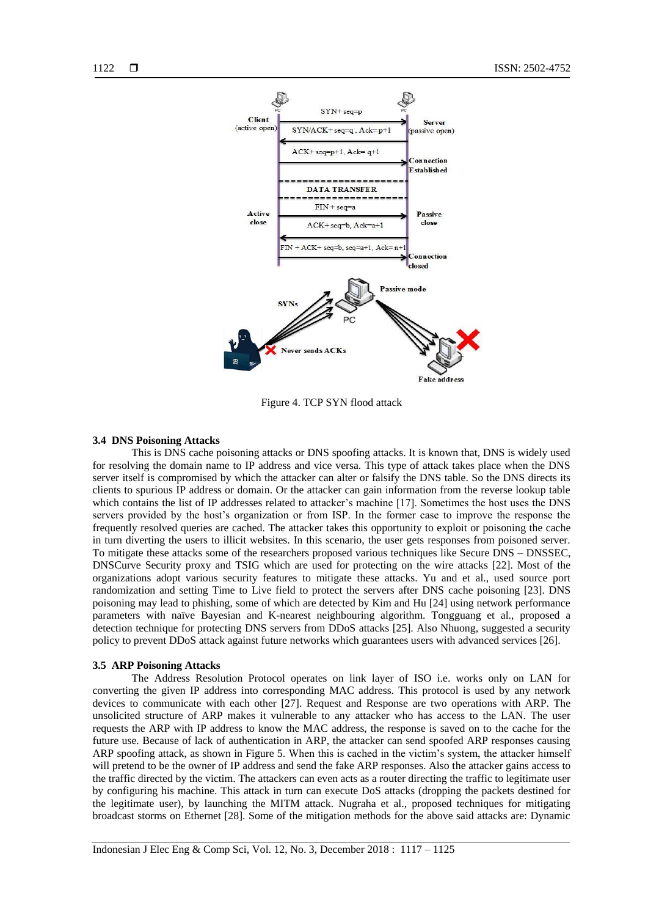



Figure 4. TCP SYN flood attack

## **3.4 DNS Poisoning Attacks**

This is DNS cache poisoning attacks or DNS spoofing attacks. It is known that, DNS is widely used for resolving the domain name to IP address and vice versa. This type of attack takes place when the DNS server itself is compromised by which the attacker can alter or falsify the DNS table. So the DNS directs its clients to spurious IP address or domain. Or the attacker can gain information from the reverse lookup table which contains the list of IP addresses related to attacker's machine [17]. Sometimes the host uses the DNS servers provided by the host's organization or from ISP. In the former case to improve the response the frequently resolved queries are cached. The attacker takes this opportunity to exploit or poisoning the cache in turn diverting the users to illicit websites. In this scenario, the user gets responses from poisoned server. To mitigate these attacks some of the researchers proposed various techniques like Secure DNS – DNSSEC, DNSCurve Security proxy and TSIG which are used for protecting on the wire attacks [22]. Most of the organizations adopt various security features to mitigate these attacks. Yu and et al., used source port randomization and setting Time to Live field to protect the servers after DNS cache poisoning [23]. DNS poisoning may lead to phishing, some of which are detected by Kim and Hu [24] using network performance parameters with naïve Bayesian and K-nearest neighbouring algorithm. Tongguang et al., proposed a detection technique for protecting DNS servers from DDoS attacks [25]. Also Nhuong, suggested a security policy to prevent DDoS attack against future networks which guarantees users with advanced services [26].

#### **3.5 ARP Poisoning Attacks**

The Address Resolution Protocol operates on link layer of ISO i.e. works only on LAN for converting the given IP address into corresponding MAC address. This protocol is used by any network devices to communicate with each other [27]. Request and Response are two operations with ARP. The unsolicited structure of ARP makes it vulnerable to any attacker who has access to the LAN. The user requests the ARP with IP address to know the MAC address, the response is saved on to the cache for the future use. Because of lack of authentication in ARP, the attacker can send spoofed ARP responses causing ARP spoofing attack, as shown in Figure 5. When this is cached in the victim's system, the attacker himself will pretend to be the owner of IP address and send the fake ARP responses. Also the attacker gains access to the traffic directed by the victim. The attackers can even acts as a router directing the traffic to legitimate user by configuring his machine. This attack in turn can execute DoS attacks (dropping the packets destined for the legitimate user), by launching the MITM attack. Nugraha et al., proposed techniques for mitigating broadcast storms on Ethernet [28]. Some of the mitigation methods for the above said attacks are: Dynamic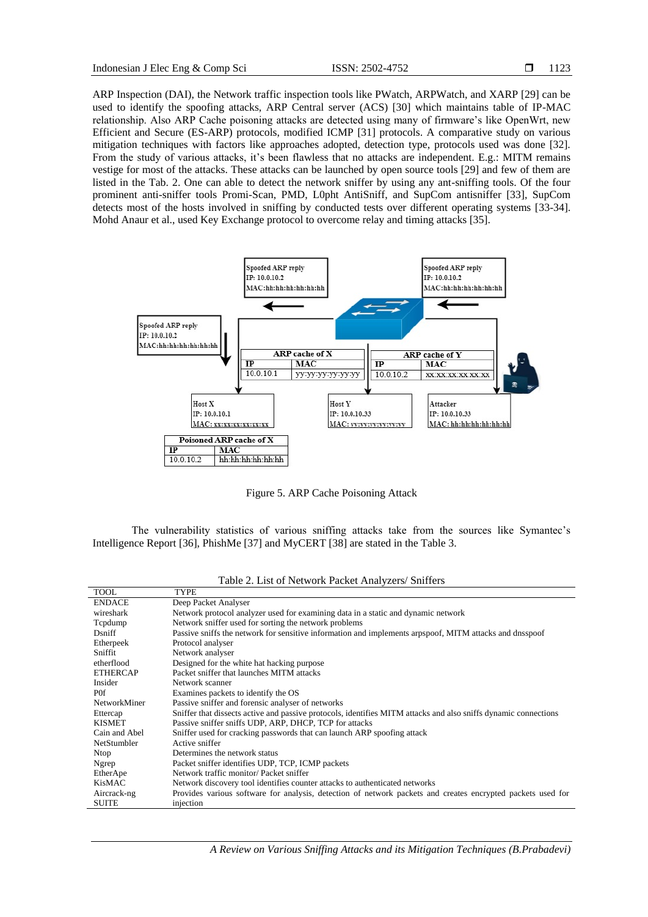ARP Inspection (DAI), the Network traffic inspection tools like PWatch, ARPWatch, and XARP [29] can be used to identify the spoofing attacks, ARP Central server (ACS) [30] which maintains table of IP-MAC relationship. Also ARP Cache poisoning attacks are detected using many of firmware's like OpenWrt, new Efficient and Secure (ES-ARP) protocols, modified ICMP [31] protocols. A comparative study on various mitigation techniques with factors like approaches adopted, detection type, protocols used was done [32]. From the study of various attacks, it's been flawless that no attacks are independent. E.g.: MITM remains vestige for most of the attacks. These attacks can be launched by open source tools [29] and few of them are listed in the Tab. 2. One can able to detect the network sniffer by using any ant-sniffing tools. Of the four prominent anti-sniffer tools Promi-Scan, PMD, L0pht AntiSniff, and SupCom antisniffer [33], SupCom detects most of the hosts involved in sniffing by conducted tests over different operating systems [33-34]. Mohd Anaur et al., used Key Exchange protocol to overcome relay and timing attacks [35].



Figure 5. ARP Cache Poisoning Attack

The vulnerability statistics of various sniffing attacks take from the sources like Symantec's Intelligence Report [36], PhishMe [37] and MyCERT [38] are stated in the Table 3.

| <b>TOOL</b>        | TYPE                                                                                                            |  |  |
|--------------------|-----------------------------------------------------------------------------------------------------------------|--|--|
| <b>ENDACE</b>      | Deep Packet Analyser                                                                                            |  |  |
| wireshark          | Network protocol analyzer used for examining data in a static and dynamic network                               |  |  |
| Tcpdump            | Network sniffer used for sorting the network problems                                                           |  |  |
| Dsniff             | Passive sniffs the network for sensitive information and implements arpspoof, MITM attacks and dnsspoof         |  |  |
| Etherpeek          | Protocol analyser                                                                                               |  |  |
| Sniffit            | Network analyser                                                                                                |  |  |
| etherflood         | Designed for the white hat hacking purpose                                                                      |  |  |
| <b>ETHERCAP</b>    | Packet sniffer that launches MITM attacks                                                                       |  |  |
| Insider            | Network scanner                                                                                                 |  |  |
| P <sub>0f</sub>    | Examines packets to identify the OS                                                                             |  |  |
| NetworkMiner       | Passive sniffer and forensic analyser of networks                                                               |  |  |
| Ettercap           | Sniffer that dissects active and passive protocols, identifies MITM attacks and also sniffs dynamic connections |  |  |
| <b>KISMET</b>      | Passive sniffer sniffs UDP, ARP, DHCP, TCP for attacks                                                          |  |  |
| Cain and Abel      | Sniffer used for cracking passwords that can launch ARP spoofing attack                                         |  |  |
| <b>NetStumbler</b> | Active sniffer                                                                                                  |  |  |
| Ntop               | Determines the network status                                                                                   |  |  |
| Ngrep              | Packet sniffer identifies UDP, TCP, ICMP packets                                                                |  |  |
| EtherApe           | Network traffic monitor/ Packet sniffer                                                                         |  |  |
| KisMAC             | Network discovery tool identifies counter attacks to authenticated networks                                     |  |  |
| Aircrack-ng        | Provides various software for analysis, detection of network packets and creates encrypted packets used for     |  |  |
| <b>SUITE</b>       | injection                                                                                                       |  |  |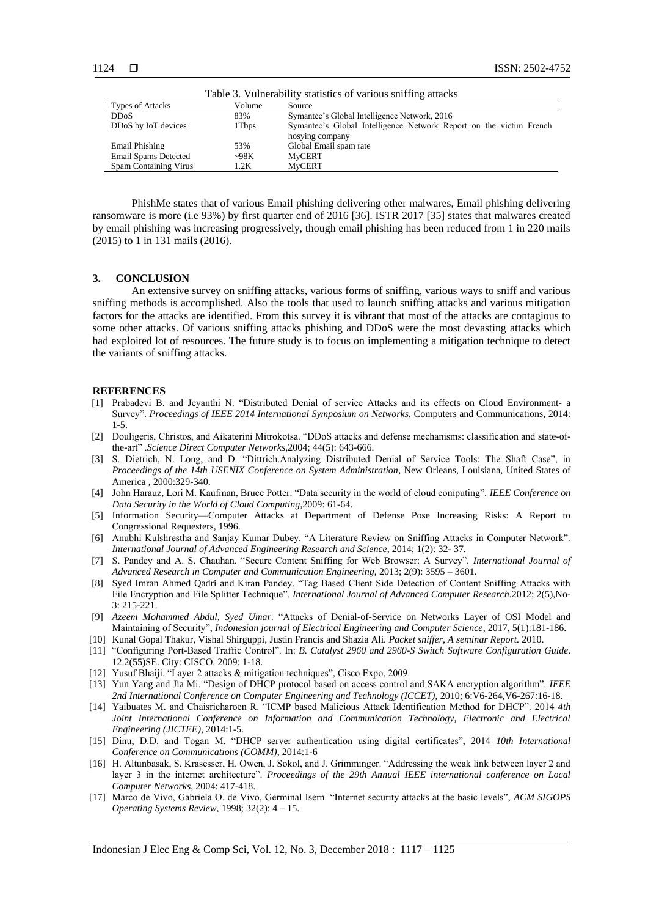| Table 3. Vulnerability statistics of various sniffing attacks |        |                                                                    |  |
|---------------------------------------------------------------|--------|--------------------------------------------------------------------|--|
| <b>Types of Attacks</b>                                       | Volume | Source                                                             |  |
| <b>DDoS</b>                                                   | 83%    | Symantec's Global Intelligence Network, 2016                       |  |
| DD <sub>o</sub> S by IoT devices                              | 1 Tbps | Symantec's Global Intelligence Network Report on the victim French |  |
|                                                               |        | hosying company                                                    |  |
| <b>Email Phishing</b>                                         | 53%    | Global Email spam rate                                             |  |
| Email Spams Detected                                          | ~298K  | <b>MyCERT</b>                                                      |  |
| Spam Containing Virus                                         | 1.2K   | <b>MyCERT</b>                                                      |  |

PhishMe states that of various Email phishing delivering other malwares, Email phishing delivering ransomware is more (i.e 93%) by first quarter end of 2016 [36]. ISTR 2017 [35] states that malwares created by email phishing was increasing progressively, though email phishing has been reduced from 1 in 220 mails (2015) to 1 in 131 mails (2016).

## **3. CONCLUSION**

An extensive survey on sniffing attacks, various forms of sniffing, various ways to sniff and various sniffing methods is accomplished. Also the tools that used to launch sniffing attacks and various mitigation factors for the attacks are identified. From this survey it is vibrant that most of the attacks are contagious to some other attacks. Of various sniffing attacks phishing and DDoS were the most devasting attacks which had exploited lot of resources. The future study is to focus on implementing a mitigation technique to detect the variants of sniffing attacks.

#### **REFERENCES**

- [1] Prabadevi B. and Jeyanthi N. "Distributed Denial of service Attacks and its effects on Cloud Environment- a Survey". *Proceedings of IEEE 2014 International Symposium on Networks*, Computers and Communications, 2014: 1-5.
- [2] Douligeris, Christos, and Aikaterini Mitrokotsa. "DDoS attacks and defense mechanisms: classification and state-ofthe-art" .*Science Direct Computer Networks,*2004; 44(5): 643-666.
- [3] S. Dietrich, N. Long, and D. "Dittrich.Analyzing Distributed Denial of Service Tools: The Shaft Case", in *Proceedings of the 14th USENIX Conference on System Administration*, New Orleans, Louisiana, United States of America , 2000:329-340.
- [4] John Harauz, Lori M. Kaufman, Bruce Potter. "Data security in the world of cloud computing". *IEEE Conference on Data Security in the World of Cloud Computing*,2009: 61-64.
- [5] Information Security—Computer Attacks at Department of Defense Pose Increasing Risks: A Report to Congressional Requesters, 1996.
- [6] Anubhi Kulshrestha and Sanjay Kumar Dubey. "A Literature Review on Sniffing Attacks in Computer Network". *International Journal of Advanced Engineering Research and Science*, 2014; 1(2): 32- 37.
- [7] S. Pandey and A. S. Chauhan. "Secure Content Sniffing for Web Browser: A Survey". *International Journal of Advanced Research in Computer and Communication Engineering*, 2013; 2(9): 3595 – 3601.
- [8] Syed Imran Ahmed Qadri and Kiran Pandey. "Tag Based Client Side Detection of Content Sniffing Attacks with File Encryption and File Splitter Technique". *International Journal of Advanced Computer Research*.2012; 2(5),No-3: 215-221.
- [9] *Azeem Mohammed Abdul, Syed Umar*. "Attacks of Denial-of-Service on Networks Layer of OSI Model and Maintaining of Security", *Indonesian journal of Electrical Engineering and Computer Science*, 2017, 5(1):181-186.
- [10] Kunal Gopal Thakur, Vishal Shirguppi, Justin Francis and Shazia Ali. *Packet sniffer, A seminar Report.* 2010.
- [11] "Configuring Port-Based Traffic Control". In: *B. Catalyst 2960 and 2960-S Switch Software Configuration Guide*. 12.2(55)SE. City: CISCO. 2009: 1-18.
- [12] Yusuf Bhaiji. "Layer 2 attacks & mitigation techniques", Cisco Expo, 2009.
- [13] Yun Yang and Jia Mi. "Design of DHCP protocol based on access control and SAKA encryption algorithm". *IEEE 2nd International Conference on Computer Engineering and Technology (ICCET)*, 2010; 6:V6-264,V6-267:16-18.
- [14] Yaibuates M. and Chaisricharoen R. "ICMP based Malicious Attack Identification Method for DHCP". 2014 *4th Joint International Conference on Information and Communication Technology, Electronic and Electrical Engineering (JICTEE)*, 2014:1-5.
- [15] Dinu, D.D. and Togan M. "DHCP server authentication using digital certificates", 2014 *10th International Conference on Communications (COMM)*, 2014:1-6
- [16] H. Altunbasak, S. Krasesser, H. Owen, J. Sokol, and J. Grimminger. "Addressing the weak link between layer 2 and layer 3 in the internet architecture". *Proceedings of the 29th Annual IEEE international conference on Local Computer Networks*, 2004: 417-418.
- [17] Marco de Vivo, Gabriela O. de Vivo, Germinal Isern. "Internet security attacks at the basic levels", *ACM SIGOPS Operating Systems Review*, 1998; 32(2): 4 – 15.